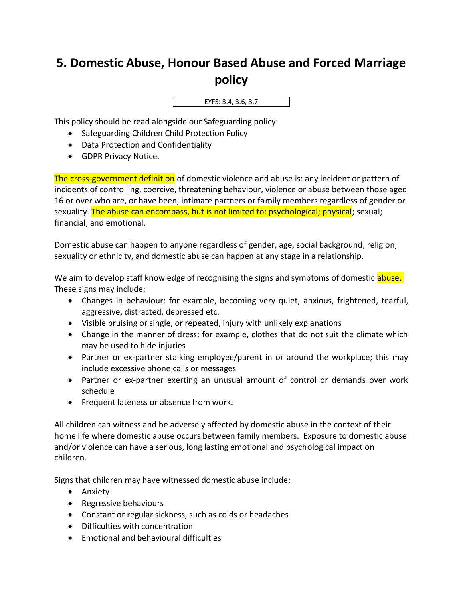## **5. Domestic Abuse, Honour Based Abuse and Forced Marriage policy**

EYFS: 3.4, 3.6, 3.7

This policy should be read alongside our Safeguarding policy:

- Safeguarding Children Child Protection Policy
- Data Protection and Confidentiality
- GDPR Privacy Notice.

The cross-government definition of domestic violence and abuse is: any incident or pattern of incidents of controlling, coercive, threatening behaviour, violence or abuse between those aged 16 or over who are, or have been, intimate partners or family members regardless of gender or sexuality. The abuse can encompass, but is not limited to: psychological; physical; sexual; financial; and emotional.

Domestic abuse can happen to anyone regardless of gender, age, social background, religion, sexuality or ethnicity, and domestic abuse can happen at any stage in a relationship.

We aim to develop staff knowledge of recognising the signs and symptoms of domestic abuse. These signs may include:

- Changes in behaviour: for example, becoming very quiet, anxious, frightened, tearful, aggressive, distracted, depressed etc.
- Visible bruising or single, or repeated, injury with unlikely explanations
- Change in the manner of dress: for example, clothes that do not suit the climate which may be used to hide injuries
- Partner or ex-partner stalking employee/parent in or around the workplace; this may include excessive phone calls or messages
- Partner or ex-partner exerting an unusual amount of control or demands over work schedule
- Frequent lateness or absence from work.

All children can witness and be adversely affected by domestic abuse in the context of their home life where domestic abuse occurs between family members. Exposure to domestic abuse and/or violence can have a serious, long lasting emotional and psychological impact on children.

Signs that children may have witnessed domestic abuse include:

- Anxiety
- Regressive behaviours
- Constant or regular sickness, such as colds or headaches
- Difficulties with concentration
- Emotional and behavioural difficulties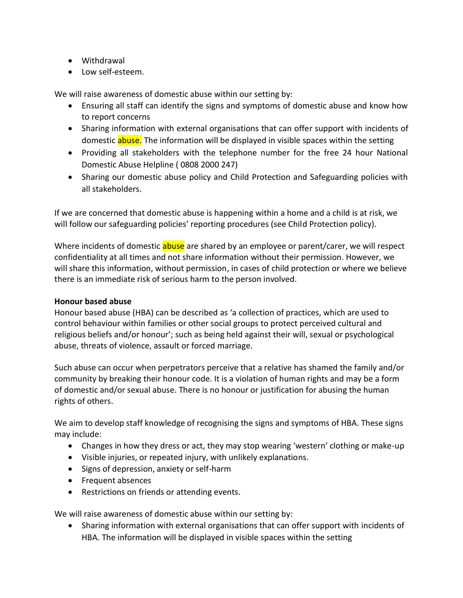- Withdrawal
- Low self-esteem.

We will raise awareness of domestic abuse within our setting by:

- Ensuring all staff can identify the signs and symptoms of domestic abuse and know how to report concerns
- Sharing information with external organisations that can offer support with incidents of domestic **abuse.** The information will be displayed in visible spaces within the setting
- Providing all stakeholders with the telephone number for the free 24 hour National Domestic Abuse Helpline ( 0808 2000 247)
- Sharing our domestic abuse policy and Child Protection and Safeguarding policies with all stakeholders.

If we are concerned that domestic abuse is happening within a home and a child is at risk, we will follow our safeguarding policies' reporting procedures (see Child Protection policy).

Where incidents of domestic abuse are shared by an employee or parent/carer, we will respect confidentiality at all times and not share information without their permission. However, we will share this information, without permission, in cases of child protection or where we believe there is an immediate risk of serious harm to the person involved.

## **Honour based abuse**

Honour based abuse (HBA) can be described as 'a collection of practices, which are used to control behaviour within families or other social groups to protect perceived cultural and religious beliefs and/or honour'; such as being held against their will, sexual or psychological abuse, threats of violence, assault or forced marriage.

Such abuse can occur when perpetrators perceive that a relative has shamed the family and/or community by breaking their honour code. It is a violation of human rights and may be a form of domestic and/or sexual abuse. There is no honour or justification for abusing the human rights of others.

We aim to develop staff knowledge of recognising the signs and symptoms of HBA. These signs may include:

- Changes in how they dress or act, they may stop wearing 'western' clothing or make-up
- Visible injuries, or repeated injury, with unlikely explanations.
- Signs of depression, anxiety or self-harm
- Frequent absences
- Restrictions on friends or attending events.

We will raise awareness of domestic abuse within our setting by:

• Sharing information with external organisations that can offer support with incidents of HBA. The information will be displayed in visible spaces within the setting